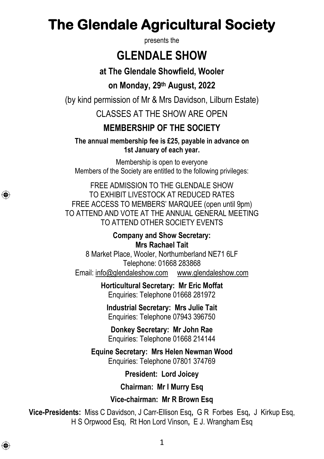# **The Glendale Agricultural Society**

presents the

## **GLENDALE SHOW**

**at The Glendale Showfield, Wooler**

### **on Monday, 29th August, 2022**

(by kind permission of Mr & Mrs Davidson, Lilburn Estate)

CLASSES AT THE SHOW ARE OPEN.

### **MEMBERSHIP OF THE SOCIETY**

**The annual membership fee is £25, payable in advance on 1st January of each year.**

Membership is open to everyone Members of the Society are entitled to the following privileges:

FREE ADMISSION TO THE GLENDALE SHOW TO EXHIBIT LIVESTOCK AT REDUCED RATES FREE ACCESS TO MEMBERS' MARQUEE (open until 9pm) TO ATTEND AND VOTE AT THE ANNUAL GENERAL MEETING TO ATTEND OTHER SOCIETY EVENTS

> **Company and Show Secretary: Mrs Rachael Tait**

8 Market Place, Wooler, Northumberland NE71 6LF Telephone: 01668 283868 Email: [info@glendaleshow.com](mailto:info@glendaleshow.com) [www.glendaleshow.com](http://www.glendaleshow.com/)

> **Horticultural Secretary: Mr Eric Moffat** Enquiries: Telephone 01668 281972

**Industrial Secretary: Mrs Julie Tait** Enquiries: Telephone 07943 396750

**Donkey Secretary: Mr John Rae** Enquiries: Telephone 01668 214144

**Equine Secretary: Mrs Helen Newman Wood** Enquiries: Telephone 07801 374769

**President: Lord Joicey**

**Chairman: Mr I Murry Esq**

**Vice-chairman: Mr R Brown Esq**

**Vice-Presidents:** Miss C Davidson, J Carr-Ellison Esq**,** G R Forbes Esq**,** J Kirkup Esq, H S Orpwood Esq, Rt Hon Lord Vinson**,** E J. Wrangham Esq

⊕

⊕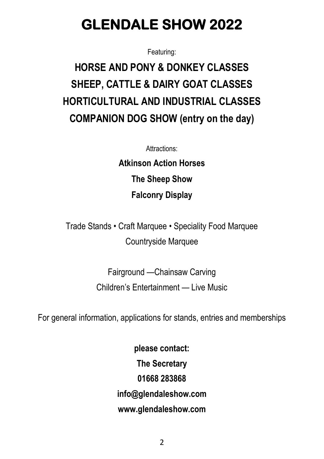# **GLENDALE SHOW 2022**

Featuring:

# **HORSE AND PONY & DONKEY CLASSES SHEEP, CATTLE & DAIRY GOAT CLASSES HORTICULTURAL AND INDUSTRIAL CLASSES COMPANION DOG SHOW (entry on the day)**

Attractions:

**Atkinson Action Horses The Sheep Show Falconry Display**

Trade Stands • Craft Marquee • Speciality Food Marquee Countryside Marquee

> Fairground —Chainsaw Carving Children's Entertainment — Live Music

For general information, applications for stands, entries and memberships

**please contact: The Secretary 01668 283868 [info@glendaleshow.com](mailto:info@glendaleshow.com) [www.glendaleshow.com](http://www.glendaleshow.com/)**

 $\overline{\phantom{a}}$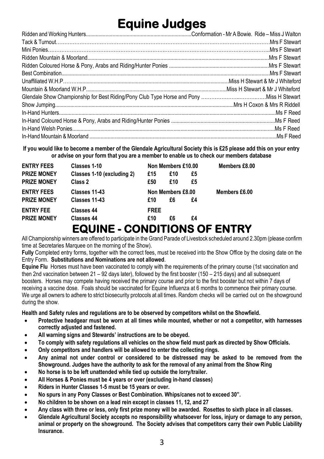# **Equine Judges**

**If you would like to become a member of the Glendale Agricultural Society this is £25 please add this on your entry or advise on your form that you are a member to enable us to check our members database**

| <b>ENTRY FEES</b>  | Classes 1-10                        | Non Members £10.00 |     |               | Members £8.00 |
|--------------------|-------------------------------------|--------------------|-----|---------------|---------------|
| <b>PRIZE MONEY</b> | Classes 1-10 (excluding 2)          | £15                | £10 | £5            |               |
| <b>PRIZE MONEY</b> | Class 2                             | £50                | £10 | £5            |               |
| <b>ENTRY FEES</b>  | Classes 11-43                       | Non Members £8.00  |     | Members £6.00 |               |
| <b>PRIZE MONEY</b> | Classes 11-43                       | £10                | £6  | £4            |               |
| <b>ENTRY FEE</b>   | Classes 44                          | <b>FREE</b>        |     |               |               |
| <b>PRIZE MONEY</b> | <b>Classes 44</b>                   | £10                | £6  | £4            |               |
|                    | <b>EQUINE - CONDITIONS OF ENTRY</b> |                    |     |               |               |

All Championship winners are offered to participate in the Grand Parade of Livestock scheduled around 2.30pm (please confirm time at Secretaries Marquee on the morning of the Show).

**Fully** Completed entry forms, together with the correct fees, must be received into the Show Office by the closing date on the Entry Form. **Substitutions and Nominations are not allowed**.

**Equine Flu** Horses must have been vaccinated to comply with the requirements of the primary course (1st vaccination and then 2nd vaccination between 21 – 92 days later), followed by the first booster (150 – 215 days) and all subsequent boosters. Horses may compete having received the primary course and prior to the first booster but not within 7 days of receiving a vaccine dose. Foals should be vaccinated for Equine Influenza at 6 months to commence their primary course. We urge all owners to adhere to strict biosecurity protocols at all times. Random checks will be carried out on the showground during the show.

**Health and Safety rules and regulations are to be observed by competitors whilst on the Showfield.**

- **Protective headgear must be worn at all times while mounted, whether or not a competitor, with harnesses correctly adjusted and fastened.**
- **All warning signs and Stewards' instructions are to be obeyed.**
- **To comply with safety regulations all vehicles on the show field must park as directed by Show Officials.**
- **Only competitors and handlers will be allowed to enter the collecting rings.**
- **Any animal not under control or considered to be distressed may be asked to be removed from the Showground. Judges have the authority to ask for the removal of any animal from the Show Ring**
- **No horse is to be left unattended while tied up outside the lorry/trailer.**
- **All Horses & Ponies must be 4 years or over (excluding in-hand classes)**
- **Riders in Hunter Classes 1-5 must be 15 years or over.**
- **No spurs in any Pony Classes or Best Combination. Whips/canes not to exceed 30".**
- **No children to be shown on a lead rein except in classes 11, 12, and 27**
- **Any class with three or less, only first prize money will be awarded. Rosettes to sixth place in all classes.**
- **Glendale Agricultural Society accepts no responsibility whatsoever for loss, injury or damage to any person, animal or property on the showground. The Society advises that competitors carry their own Public Liability Insurance.**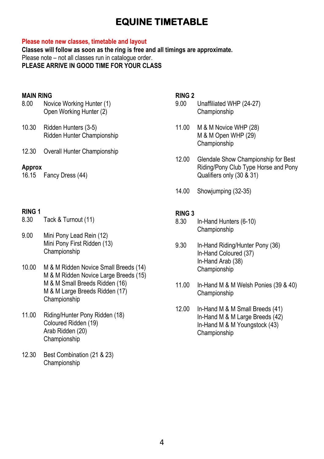### **EQUINE TIMETABLE**

#### **Please note new classes, timetable and layout**

**Classes will follow as soon as the ring is free and all timings are approximate.**  Please note – not all classes run in catalogue order. **PLEASE ARRIVE IN GOOD TIME FOR YOUR CLASS**

#### **MAIN RING**

| 8.00 | Novice Working Hunter (1) |
|------|---------------------------|
|      | Open Working Hunter (2)   |

- 10.30 Ridden Hunters (3-5) Ridden Hunter Championship
- 12.30 Overall Hunter Championship

#### **Approx**

16.15 Fancy Dress (44)

## **RING 1**

- Tack & Turnout (11)
- 9.00 Mini Pony Lead Rein (12) Mini Pony First Ridden (13) Championship
- 10.00 M & M Ridden Novice Small Breeds (14) M & M Ridden Novice Large Breeds (15) M & M Small Breeds Ridden (16) M & M Large Breeds Ridden (17) Championship
- 11.00 Riding/Hunter Pony Ridden (18) Coloured Ridden (19) Arab Ridden (20) Championship
- 12.30 Best Combination (21 & 23) Championship

#### **RING 2**

- 9.00 Unaffiliated WHP (24-27) Championship
- 11.00 M & M Novice WHP (28) M & M Open WHP (29) Championship
- 12.00 Glendale Show Championship for Best Riding/Pony Club Type Horse and Pony Qualifiers only (30 & 31)
- 14.00 Showjumping (32-35)

## **RING 3**

- In-Hand Hunters (6-10) Championship
- 9.30 In-Hand Riding/Hunter Pony (36) In-Hand Coloured (37) In-Hand Arab (38) Championship
- 11.00 In-Hand M & M Welsh Ponies (39 & 40) Championship
- 12.00 In-Hand M & M Small Breeds (41) In-Hand M & M Large Breeds (42) In-Hand M & M Youngstock (43) Championship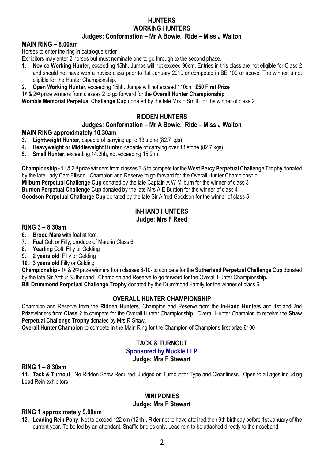#### **HUNTERS WORKING HUNTERS Judges: Conformation – Mr A Bowie. Ride – Miss J Walton**

#### **MAIN RING – 8.00am**

Horses to enter the ring in catalogue order

Exhibitors may enter 2 horses but must nominate one to go through to the second phase.

- **1. Novice Working Hunter**, exceeding 15hh. Jumps will not exceed 90cm. Entries in this class are not eligible for Class 2 and should not have won a novice class prior to 1st January 2019 or competed in BE 100 or above. The winner is not eligible for the Hunter Championship.
- **2. Open Working Hunter**, exceeding 15hh. Jumps will not exceed 110cm **£50 First Prize**

1st & 2nd prize winners from classes 2 to go forward for the **Overall Hunter Championship**

**Womble Memorial Perpetual Challenge Cup** donated by the late Mrs F Smith for the winner of class 2

#### **RIDDEN HUNTERS**

#### **Judges: Conformation – Mr A Bowie. Ride – Miss J Walton**

#### **MAIN RING approximately 10.30am**

- **3. Lightweight Hunter**, capable of carrying up to 13 stone (82.7 kgs).
- **4. Heavyweight or Middleweight Hunter**, capable of carrying over 13 stone (82.7 kgs).
- **5. Small Hunter**, exceeding 14.2hh, not exceeding 15.2hh.

**Championship -** 1st & 2nd prize winners from classes 3-5 to compete for the **West Percy Perpetual Challenge Trophy** donated by the late Lady Carr-Ellison. Champion and Reserve to go forward for the Overall Hunter Championship**. Milburn Perpetual Challenge Cup** donated by the late Captain A W Milburn for the winner of class 3 **Burdon Perpetual Challenge Cup** donated by the late Mrs A E Burdon for the winner of class 4 **Goodson Perpetual Challenge Cup** donated by the late Sir Alfred Goodson for the winner of class 5

#### **IN-HAND HUNTERS Judge: Mrs F Reed**

#### **RING 3 – 8.30am**

- **6. Brood Mare** with foal at foot.<br>**7 Foal** Colt or Filly produce of
- **7. Foal** Colt or Filly, produce of Mare in Class 6
- **8. Yearling** Colt, Filly or Gelding
- **9. 2 years old**, Filly or Gelding
- **10. 3 years old** Filly or Gelding

**Championship -** 1st & 2nd prize winners from classes 6-10- to compete for the **Sutherland Perpetual Challenge Cup** donated by the late Sir Arthur Sutherland. Champion and Reserve to go forward for the Overall Hunter Championship**. Bill Drummond Perpetual Challenge Trophy** donated by the Drummond Family for the winner of class 6

#### **OVERALL HUNTER CHAMPIONSHIP**

Champion and Reserve from the **Ridden Hunters**, Champion and Reserve from the **In-Hand Hunters** and 1st and 2nd Prizewinners from **Class 2** to compete for the Overall Hunter Championship. Overall Hunter Champion to receive the **Shaw Perpetual Challenge Trophy** donated by Mrs R Shaw.

**Overall Hunter Champion** to compete in the Main Ring for the Champion of Champions first prize £100

#### **TACK & TURNOUT Sponsored by Muckle LLP Judge: Mrs F Stewart**

#### **RING 1 – 8.30am**

**11. Tack & Turnout**. No Ridden Show Required, Judged on Turnout for Type and Cleanliness. Open to all ages including Lead Rein exhibitors

#### **MINI PONIES Judge: Mrs F Stewart**

#### **RING 1 approximately 9.00am**

**12. Leading Rein Pony**. Not to exceed 122 cm (12hh). Rider not to have attained their 9th birthday before 1st January of the current year. To be led by an attendant. Snaffle bridles only. Lead rein to be attached directly to the noseband.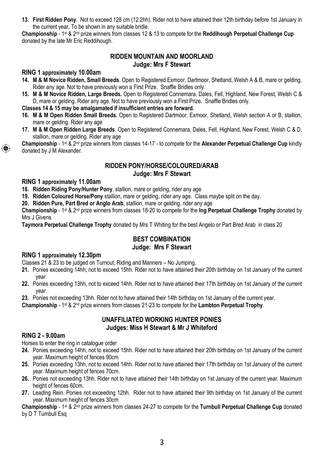**13. First Ridden Pony**. Not to exceed 128 cm (12.2hh). Rider not to have attained their 12th birthday before 1st January in the current year. To be shown in any suitable bridle.

**Championship** - 1st & 2nd prize winners from classes 12 & 13 to compete for the **Reddihough Perpetual Challenge Cup**  donated by the late Mr Eric Reddihough.

#### **RIDDEN MOUNTAIN AND MOORLAND Judge: Mrs F Stewart**

#### **RING 1 approximately 10.00am**

- **14. M & M Novice Ridden, Small Breeds**. Open to Registered Exmoor, Dartmoor, Shetland, Welsh A & B, mare or gelding. Rider any age. Not to have previously won a First Prize. Snaffle Bridles only.
- **15. M & M Novice Ridden, Large Breeds.** Open to Registered Connemara, Dales, Fell, Highland, New Forest, Welsh C & D, mare or gelding. Rider any age. Not to have previously won a First Prize. Snaffle Bridles only.

#### **Classes 14 & 15 may be amalgamated if insufficient entries are forward.**

- **16. M & M Open Ridden Small Breeds.** Open to Registered Dartmoor, Exmoor, Shetland, Welsh section A or B, stallion, mare or gelding. Rider any age
- **17. M & M Open Ridden Large Breeds**. Open to Registered Connemara, Dales, Fell, Highland, New Forest, Welsh C & D, stallion, mare or gelding. Rider any age

**Championship** - 1st & 2nd prize winners from classes 14-17 - to compete for the **Alexander Perpetual Challenge Cup** kindly donated by J M Alexander.

#### **RIDDEN PONY/HORSE/COLOURED/ARAB Judge: Mrs F Stewart**

#### **RING 1 approximately 11.00am**

⊕

**18. Ridden Riding Pony/Hunter Pony**. stallion, mare or gelding, rider any age

**19. Ridden Coloured Horse/Pony** stallion, mare or gelding, rider any age. Class maybe split on the day.

**20. Ridden Pure, Part Bred or Anglo Arab**, stallion, mare or gelding, rider any age

**Championship** - 1st & 2nd prize winners from classes 18-20 to compete for the **Ing Perpetual Challenge Trophy** donated by Mrs J Givens

**Taymora Perpetual Challenge Trophy** donated by Mrs T Whiting for the best Angelo or Part Bred Arab in class 20

#### **BEST COMBINATION Judge: Mrs F Stewart**

#### **RING 1 approximately 12.30pm**

Classes 21 & 23 to be judged on Turnout, Riding and Manners – No Jumping.

- **21.** Ponies exceeding 14hh, not to exceed 15hh. Rider not to have attained their 20th birthday on 1st January of the current year.
- **22.** Ponies exceeding 13hh, not to exceed 14hh. Rider not to have attained their 17th birthday on 1st January of the current year.
- **23.** Ponies not exceeding 13hh. Rider not to have attained their 14th birthday on 1st January of the current year.

**Championship** - 1st & 2nd prize winners from classes 21-23 to compete for the **Lambton Perpetual Trophy**.

#### **UNAFFILIATED WORKING HUNTER PONIES Judges: Miss H Stewart & Mr J Whiteford**

#### **RING 2 - 9.00am**

Horses to enter the ring in catalogue order

- **24.** Ponies exceeding 14hh, not to exceed 15hh. Rider not to have attained their 20th birthday on 1st January of the current year. Maximum height of fences 90cm
- **25.** Ponies exceeding 13hh, not to exceed 14hh. Rider not to have attained their 17th birthday on 1st January of the current year. Maximum height of fences 70cm.
- **26.** Ponies not exceeding 13hh. Rider not to have attained their 14th birthday on 1st January of the current year. Maximum height of fences 60cm.
- **27.** Leading Rein. Ponies not exceeding 12hh. Rider not to have attained their 9th birthday on 1st January of the current year. Maximum height of fences 30cm

**Championship** - 1st & 2nd prize winners from classes 24-27 to compete for the **Turnbull Perpetual Challenge Cup** donated by D T Turnbull Esq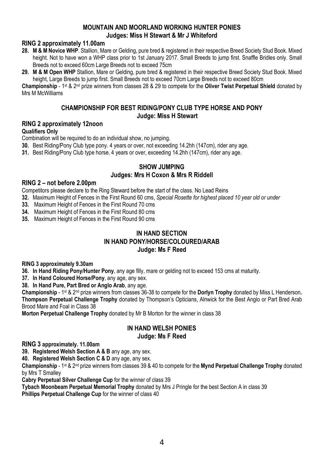#### **MOUNTAIN AND MOORLAND WORKING HUNTER PONIES Judges: Miss H Stewart & Mr J Whiteford**

#### **RING 2 approximately 11.00am**

- **28. M & M Novice WHP**. Stallion, Mare or Gelding, pure bred & registered in their respective Breed Society Stud Book. Mixed height. Not to have won a WHP class prior to 1st January 2017. Small Breeds to jump first. Snaffle Bridles only. Small Breeds not to exceed 60cm Large Breeds not to exceed 75cm
- **29. M & M Open WHP** Stallion, Mare or Gelding, pure bred & registered in their respective Breed Society Stud Book. Mixed height, Large Breeds to jump first. Small Breeds not to exceed 70cm Large Breeds not to exceed 80cm

**Championship** - 1st & 2nd prize winners from classes 28 & 29 to compete for the **Oliver Twist Perpetual Shield** donated by Mrs M McWilliams

#### **CHAMPIONSHIP FOR BEST RIDING/PONY CLUB TYPE HORSE AND PONY Judge: Miss H Stewart**

#### **RING 2 approximately 12noon**

#### **Qualifiers Only**

Combination will be required to do an individual show, no jumping.

- **30.** Best Riding/Pony Club type pony. 4 years or over, not exceeding 14.2hh (147cm), rider any age.
- **31.** Best Riding/Pony Club type horse. 4 years or over, exceeding 14.2hh (147cm), rider any age.

#### **SHOW JUMPING Judges: Mrs H Coxon & Mrs R Riddell**

#### **RING 2 – not before 2.00pm**

Competitors please declare to the Ring Steward before the start of the class. No Lead Reins

**32.** Maximum Height of Fences in the First Round 60 cms, *Special Rosette for highest placed 10 year old or under*

**33.** Maximum Height of Fences in the First Round 70 cms

**34.** Maximum Height of Fences in the First Round 80 cms

**35.** Maximum Height of Fences in the First Round 90 cms

#### **IN HAND SECTION IN HAND PONY/HORSE/COLOURED/ARAB Judge: Ms F Reed**

#### **RING 3 approximately 9.30am**

**36. In Hand Riding Pony/Hunter Pony**, any age filly, mare or gelding not to exceed 153 cms at maturity.

**37. In Hand Coloured Horse/Pony**, any age, any sex.

**38. In Hand Pure, Part Bred or Anglo Arab**, any age.

**Championship** - 1st & 2nd prize winners from classes 36-38 to compete for the **Dorlyn Trophy** donated by Miss L Henderson**. Thompson Perpetual Challenge Trophy** donated by Thompson's Opticians, Alnwick for the Best Anglo or Part Bred Arab Brood Mare and Foal in Class 38

**Morton Perpetual Challenge Trophy** donated by Mr B Morton for the winner in class 38

#### **IN HAND WELSH PONIES Judge: Ms F Reed**

**RING 3 approximately. 11.00am**

**39. Registered Welsh Section A & B** any age, any sex.

**40. Registered Welsh Section C & D** any age, any sex.

**Championship** - 1st & 2nd prize winners from classes 39 & 40 to compete for the **Mynd Perpetual Challenge Trophy** donated by Mrs T Smalley

**Cabry Perpetual Silver Challenge Cup** for the winner of class 39

**Tybach Moonbeam Perpetual Memorial Trophy** donated by Mrs J Pringle for the best Section A in class 39

**Phillips Perpetual Challenge Cup** for the winner of class 40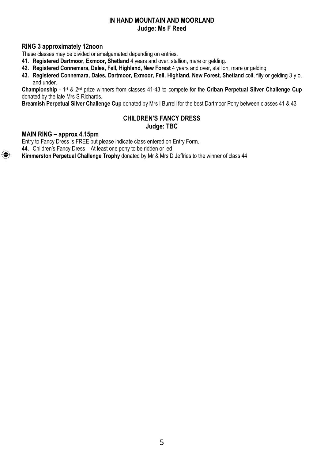#### **IN HAND MOUNTAIN AND MOORLAND Judge: Ms F Reed**

#### **RING 3 approximately 12noon**

These classes may be divided or amalgamated depending on entries.

**41. Registered Dartmoor, Exmoor, Shetland** 4 years and over, stallion, mare or gelding.

**42. Registered Connemara, Dales, Fell, Highland, New Forest** 4 years and over, stallion, mare or gelding.

**43. Registered Connemara, Dales, Dartmoor, Exmoor, Fell, Highland, New Forest, Shetland** colt, filly or gelding 3 y.o. and under.

**Championship** - 1st & 2nd prize winners from classes 41-43 to compete for the **Criban Perpetual Silver Challenge Cup**  donated by the late Mrs S Richards.

**Breamish Perpetual Silver Challenge Cup** donated by Mrs I Burrell for the best Dartmoor Pony between classes 41 & 43

#### **CHILDREN'S FANCY DRESS Judge: TBC**

#### **MAIN RING – approx 4.15pm**

⊕

Entry to Fancy Dress is FREE but please indicate class entered on Entry Form. **44.** Children's Fancy Dress – At least one pony to be ridden or led

**Kimmerston Perpetual Challenge Trophy** donated by Mr & Mrs D Jeffries to the winner of class 44